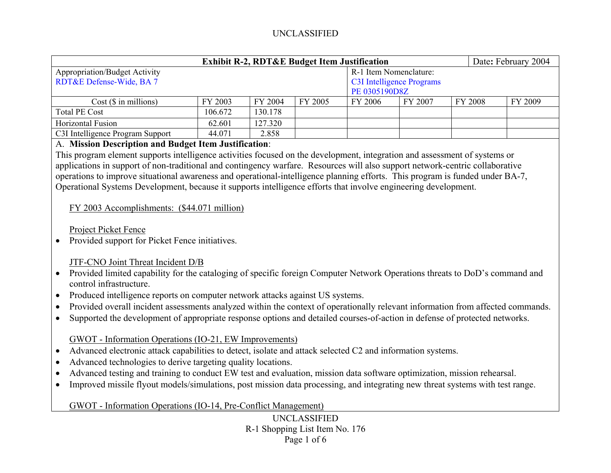| <b>Exhibit R-2, RDT&amp;E Budget Item Justification</b> |         |         |                                  |                        |         |         | Date: February 2004 |  |
|---------------------------------------------------------|---------|---------|----------------------------------|------------------------|---------|---------|---------------------|--|
| <b>Appropriation/Budget Activity</b>                    |         |         |                                  | R-1 Item Nomenclature: |         |         |                     |  |
| RDT&E Defense-Wide, BA 7                                |         |         | <b>C3I Intelligence Programs</b> |                        |         |         |                     |  |
|                                                         |         |         |                                  | PE 0305190D8Z          |         |         |                     |  |
| $Cost$ ( $\$\$ in millions)                             | FY 2003 | FY 2004 | FY 2005                          | FY 2006                | FY 2007 | FY 2008 | FY 2009             |  |
| <b>Total PE Cost</b>                                    | 106.672 | 130.178 |                                  |                        |         |         |                     |  |
| Horizontal Fusion                                       | 62.601  | 127.320 |                                  |                        |         |         |                     |  |
| C3I Intelligence Program Support                        | 44.071  | 2.858   |                                  |                        |         |         |                     |  |

### A. **Mission Description and Budget Item Justification**:

This program element supports intelligence activities focused on the development, integration and assessment of systems or applications in support of non-traditional and contingency warfare. Resources will also support network-centric collaborative operations to improve situational awareness and operational-intelligence planning efforts. This program is funded under BA-7, Operational Systems Development, because it supports intelligence efforts that involve engineering development.

### FY 2003 Accomplishments: (\$44.071 million)

Project Picket Fence

 $\bullet$ Provided support for Picket Fence initiatives.

## JTF-CNO Joint Threat Incident D/B

- Provided limited capability for the cataloging of specific foreign Computer Network Operations threats to DoD's command and control infrastructure.
- •Produced intelligence reports on computer network attacks against US systems.
- •Provided overall incident assessments analyzed within the context of operationally relevant information from affected commands.
- •Supported the development of appropriate response options and detailed courses-of-action in defense of protected networks.

## GWOT - Information Operations (IO-21, EW Improvements)

- $\bullet$ Advanced electronic attack capabilities to detect, isolate and attack selected C2 and information systems.
- •Advanced technologies to derive targeting quality locations.
- •Advanced testing and training to conduct EW test and evaluation, mission data software optimization, mission rehearsal.
- •Improved missile flyout models/simulations, post mission data processing, and integrating new threat systems with test range.

## GWOT - Information Operations (IO-14, Pre-Conflict Management)

UNCLASSIFIED R-1 Shopping List Item No. 176 Page 1 of 6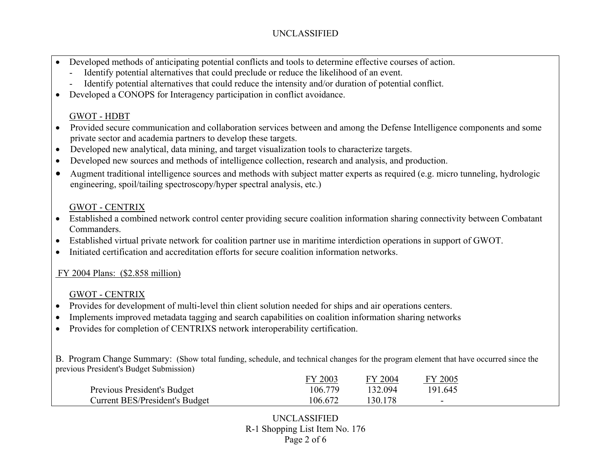- • Developed methods of anticipating potential conflicts and tools to determine effective courses of action.
	- Identify potential alternatives that could preclude or reduce the likelihood of an event.
	- Identify potential alternatives that could reduce the intensity and/or duration of potential conflict.
- $\bullet$ Developed a CONOPS for Interagency participation in conflict avoidance.

# GWOT - HDBT

- • Provided secure communication and collaboration services between and among the Defense Intelligence components and some private sector and academia partners to develop these targets.
- •Developed new analytical, data mining, and target visualization tools to characterize targets.
- •Developed new sources and methods of intelligence collection, research and analysis, and production.
- • Augment traditional intelligence sources and methods with subject matter experts as required (e.g. micro tunneling, hydrologic engineering, spoil/tailing spectroscopy/hyper spectral analysis, etc.)

# GWOT - CENTRIX

- Established a combined network control center providing secure coalition information sharing connectivity between Combatant Commanders.
- $\bullet$ Established virtual private network for coalition partner use in maritime interdiction operations in support of GWOT.
- •Initiated certification and accreditation efforts for secure coalition information networks.

# FY 2004 Plans: (\$2.858 million)

# GWOT - CENTRIX

- $\bullet$ Provides for development of multi-level thin client solution needed for ships and air operations centers.
- •Implements improved metadata tagging and search capabilities on coalition information sharing networks
- •Provides for completion of CENTRIXS network interoperability certification.

B. Program Change Summary: (Show total funding, schedule, and technical changes for the program element that have occurred since the previous President's Budget Submission)

|                                | FY 2003 | FY 2004 | <b>FY 2005</b> |
|--------------------------------|---------|---------|----------------|
| Previous President's Budget    | 106.779 | 132 094 | 191.645        |
| Current BES/President's Budget | 106.672 | 130.178 | -              |

UNCLASSIFIED R-1 Shopping List Item No. 176 Page 2 of 6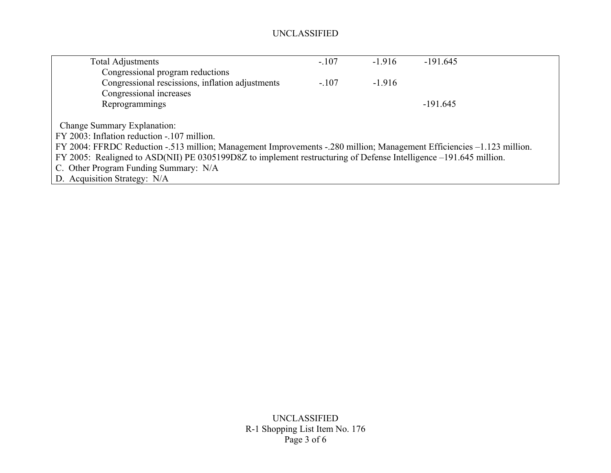| <b>Total Adjustments</b>                                                                                               | $-.107$ | $-1.916$ | $-191.645$ |  |  |  |  |
|------------------------------------------------------------------------------------------------------------------------|---------|----------|------------|--|--|--|--|
| Congressional program reductions                                                                                       |         |          |            |  |  |  |  |
| Congressional rescissions, inflation adjustments                                                                       | $-.107$ | $-1.916$ |            |  |  |  |  |
| Congressional increases                                                                                                |         |          |            |  |  |  |  |
| Reprogrammings                                                                                                         |         |          | $-191.645$ |  |  |  |  |
|                                                                                                                        |         |          |            |  |  |  |  |
| Change Summary Explanation:                                                                                            |         |          |            |  |  |  |  |
| FY 2003: Inflation reduction - 107 million.                                                                            |         |          |            |  |  |  |  |
| FY 2004: FFRDC Reduction - 513 million; Management Improvements - 280 million; Management Efficiencies -1.123 million. |         |          |            |  |  |  |  |
| FY 2005: Realigned to ASD(NII) PE 0305199D8Z to implement restructuring of Defense Intelligence –191.645 million.      |         |          |            |  |  |  |  |
| C. Other Program Funding Summary: N/A                                                                                  |         |          |            |  |  |  |  |
| D. Acquisition Strategy: N/A                                                                                           |         |          |            |  |  |  |  |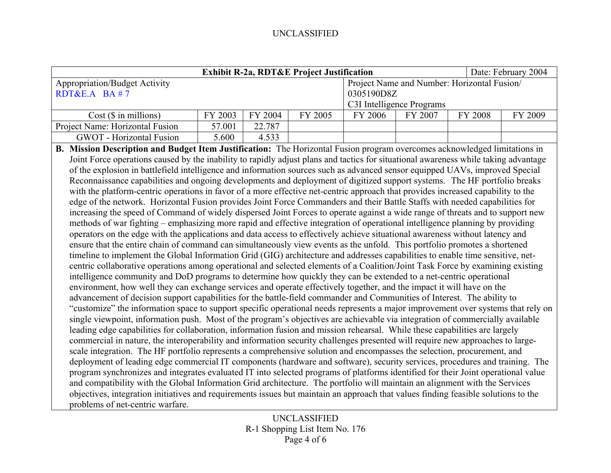| <b>Exhibit R-2a, RDT&amp;E Project Justification</b>                                                                                |                                                                                                                                |         |                                             |            |         | Date: February 2004 |         |  |
|-------------------------------------------------------------------------------------------------------------------------------------|--------------------------------------------------------------------------------------------------------------------------------|---------|---------------------------------------------|------------|---------|---------------------|---------|--|
| <b>Appropriation/Budget Activity</b>                                                                                                |                                                                                                                                |         | Project Name and Number: Horizontal Fusion/ |            |         |                     |         |  |
| RDT&E.A BA#7                                                                                                                        |                                                                                                                                |         |                                             | 0305190D8Z |         |                     |         |  |
|                                                                                                                                     |                                                                                                                                |         | C3I Intelligence Programs                   |            |         |                     |         |  |
| Cost (\$ in millions)                                                                                                               | FY 2003                                                                                                                        | FY 2004 | FY 2005                                     | FY 2006    | FY 2007 | FY 2008             | FY 2009 |  |
| Project Name: Horizontal Fusion                                                                                                     | 57.001                                                                                                                         | 22.787  |                                             |            |         |                     |         |  |
| <b>GWOT</b> - Horizontal Fusion                                                                                                     | 5.600                                                                                                                          | 4.533   |                                             |            |         |                     |         |  |
| B. Mission Description and Budget Item Justification: The Horizontal Fusion program overcomes acknowledged limitations in           |                                                                                                                                |         |                                             |            |         |                     |         |  |
| Joint Force operations caused by the inability to rapidly adjust plans and tactics for situational awareness while taking advantage |                                                                                                                                |         |                                             |            |         |                     |         |  |
| of the explosion in battlefield intelligence and information sources such as advanced sensor equipped UAVs, improved Special        |                                                                                                                                |         |                                             |            |         |                     |         |  |
| Reconnaissance capabilities and ongoing developments and deployment of digitized support systems. The HF portfolio breaks           |                                                                                                                                |         |                                             |            |         |                     |         |  |
| with the platform-centric operations in favor of a more effective net-centric approach that provides increased capability to the    |                                                                                                                                |         |                                             |            |         |                     |         |  |
| edge of the network. Horizontal Fusion provides Joint Force Commanders and their Battle Staffs with needed capabilities for         |                                                                                                                                |         |                                             |            |         |                     |         |  |
| increasing the speed of Command of widely dispersed Joint Forces to operate against a wide range of threats and to support new      |                                                                                                                                |         |                                             |            |         |                     |         |  |
| methods of war fighting – emphasizing more rapid and effective integration of operational intelligence planning by providing        |                                                                                                                                |         |                                             |            |         |                     |         |  |
| operators on the edge with the applications and data access to effectively achieve situational awareness without latency and        |                                                                                                                                |         |                                             |            |         |                     |         |  |
| ensure that the entire chain of command can simultaneously view events as the unfold. This portfolio promotes a shortened           |                                                                                                                                |         |                                             |            |         |                     |         |  |
|                                                                                                                                     | timeline to implement the Global Information Grid (GIG) architecture and addresses capabilities to enable time sensitive, net- |         |                                             |            |         |                     |         |  |
| centric collaborative operations among operational and selected elements of a Coalition/Joint Task Force by examining existing      |                                                                                                                                |         |                                             |            |         |                     |         |  |
| intelligence community and DoD programs to determine how quickly they can be extended to a net-centric operational                  |                                                                                                                                |         |                                             |            |         |                     |         |  |
| environment, how well they can exchange services and operate effectively together, and the impact it will have on the               |                                                                                                                                |         |                                             |            |         |                     |         |  |
| advancement of decision support capabilities for the battle-field commander and Communities of Interest. The ability to             |                                                                                                                                |         |                                             |            |         |                     |         |  |
| "customize" the information space to support specific operational needs represents a major improvement over systems that rely on    |                                                                                                                                |         |                                             |            |         |                     |         |  |
| single viewpoint, information push. Most of the program's objectives are achievable via integration of commercially available       |                                                                                                                                |         |                                             |            |         |                     |         |  |
| leading edge capabilities for collaboration, information fusion and mission rehearsal. While these capabilities are largely         |                                                                                                                                |         |                                             |            |         |                     |         |  |
| commercial in nature, the interoperability and information security challenges presented will require new approaches to large-      |                                                                                                                                |         |                                             |            |         |                     |         |  |
| scale integration. The HF portfolio represents a comprehensive solution and encompasses the selection, procurement, and             |                                                                                                                                |         |                                             |            |         |                     |         |  |
| deployment of leading edge commercial IT components (hardware and software), security services, procedures and training. The        |                                                                                                                                |         |                                             |            |         |                     |         |  |
| program synchronizes and integrates evaluated IT into selected programs of platforms identified for their Joint operational value   |                                                                                                                                |         |                                             |            |         |                     |         |  |
| and compatibility with the Global Information Grid architecture. The portfolio will maintain an alignment with the Services         |                                                                                                                                |         |                                             |            |         |                     |         |  |
| objectives, integration initiatives and requirements issues but maintain an approach that values finding feasible solutions to the  |                                                                                                                                |         |                                             |            |         |                     |         |  |
| problems of net-centric warfare.                                                                                                    |                                                                                                                                |         |                                             |            |         |                     |         |  |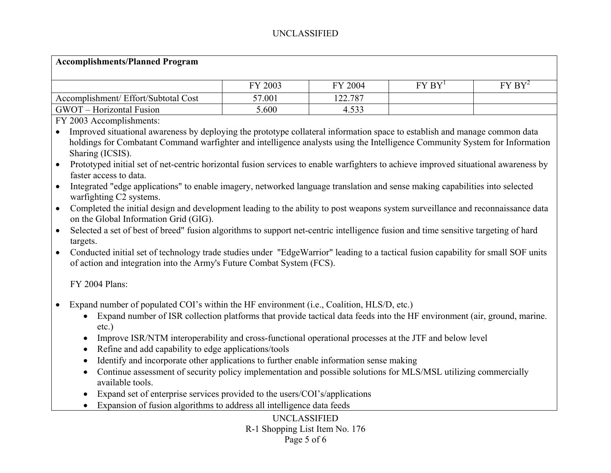### **Accomplishments/Planned Program**

|                                                              | FY 2003 | 2004<br>ГV | <b>FV RV</b> | $FY$ $BY^2$ |
|--------------------------------------------------------------|---------|------------|--------------|-------------|
| Accomplishment/ Effort/Subtotal Cost                         | 57.001  | 122.787    |              |             |
| GWOT<br><b>Horizontal Fusion</b><br>$\overline{\phantom{0}}$ | 5.600   | 4.533      |              |             |

FY 2003 Accomplishments:

• Improved situational awareness by deploying the prototype collateral information space to establish and manage common data holdings for Combatant Command warfighter and intelligence analysts using the Intelligence Community System for Information Sharing (ICSIS).

• Prototyped initial set of net-centric horizontal fusion services to enable warfighters to achieve improved situational awareness by faster access to data.

• Integrated "edge applications" to enable imagery, networked language translation and sense making capabilities into selected warfighting C2 systems.

- Completed the initial design and development leading to the ability to post weapons system surveillance and reconnaissance data on the Global Information Grid (GIG).
- Selected a set of best of breed" fusion algorithms to support net-centric intelligence fusion and time sensitive targeting of hard targets.
- • Conducted initial set of technology trade studies under "EdgeWarrior" leading to a tactical fusion capability for small SOF units of action and integration into the Army's Future Combat System (FCS).

#### FY 2004 Plans:

- $\bullet$  Expand number of populated COI's within the HF environment (i.e., Coalition, HLS/D, etc.)
	- Expand number of ISR collection platforms that provide tactical data feeds into the HF environment (air, ground, marine. etc.)
	- Improve ISR/NTM interoperability and cross-functional operational processes at the JTF and below level
	- Refine and add capability to edge applications/tools
	- •Identify and incorporate other applications to further enable information sense making
	- Continue assessment of security policy implementation and possible solutions for MLS/MSL utilizing commercially available tools.
	- Expand set of enterprise services provided to the users/COI's/applications
	- Expansion of fusion algorithms to address all intelligence data feeds

### UNCLASSIFIED R-1 Shopping List Item No. 176 Page 5 of 6